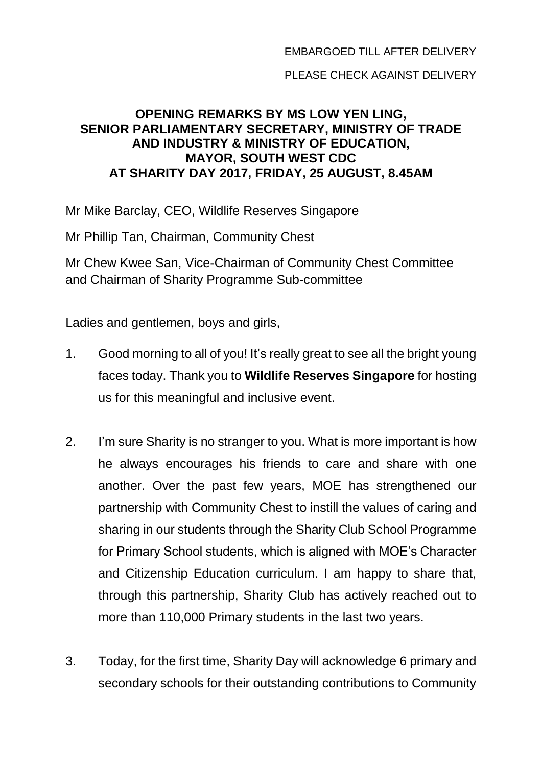PLEASE CHECK AGAINST DELIVERY

## **OPENING REMARKS BY MS LOW YEN LING, SENIOR PARLIAMENTARY SECRETARY, MINISTRY OF TRADE AND INDUSTRY & MINISTRY OF EDUCATION, MAYOR, SOUTH WEST CDC AT SHARITY DAY 2017, FRIDAY, 25 AUGUST, 8.45AM**

Mr Mike Barclay, CEO, Wildlife Reserves Singapore

Mr Phillip Tan, Chairman, Community Chest

Mr Chew Kwee San, Vice-Chairman of Community Chest Committee and Chairman of Sharity Programme Sub-committee

Ladies and gentlemen, boys and girls,

- 1. Good morning to all of you! It's really great to see all the bright young faces today. Thank you to **Wildlife Reserves Singapore** for hosting us for this meaningful and inclusive event.
- 2. I'm sure Sharity is no stranger to you. What is more important is how he always encourages his friends to care and share with one another. Over the past few years, MOE has strengthened our partnership with Community Chest to instill the values of caring and sharing in our students through the Sharity Club School Programme for Primary School students, which is aligned with MOE's Character and Citizenship Education curriculum. I am happy to share that, through this partnership, Sharity Club has actively reached out to more than 110,000 Primary students in the last two years.
- 3. Today, for the first time, Sharity Day will acknowledge 6 primary and secondary schools for their outstanding contributions to Community